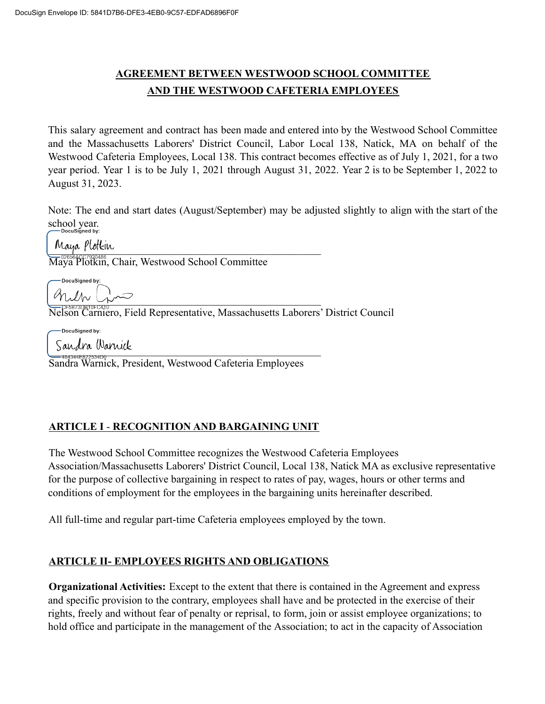# **AGREEMENT BETWEEN WESTWOOD SCHOOL COMMITTEE AND THE WESTWOOD CAFETERIA EMPLOYEES**

This salary agreement and contract has been made and entered into by the Westwood School Committee and the Massachusetts Laborers' District Council, Labor Local 138, Natick, MA on behalf of the Westwood Cafeteria Employees, Local 138. This contract becomes effective as of July 1, 2021, for a two year period. Year 1 is to be July 1, 2021 through August 31, 2022. Year 2 is to be September 1, 2022 to August 31, 2023.

Note: The end and start dates (August/September) may be adjusted slightly to align with the start of the school year.

Maya Plotkin

Maya Plotkin, Chair, Westwood School Committee

DocuSianed by \_\_\_\_\_\_\_\_\_\_\_\_\_\_\_\_\_\_\_\_\_\_\_\_\_\_\_\_\_\_\_\_\_\_\_\_\_\_\_\_\_\_\_\_\_\_\_\_\_\_\_

Nelson Carniero, Field Representative, Massachusetts Laborers' District Council

-DocuSianed by:

 $\sum_{i=1}^n \frac{\partial u}{\partial x_i}$ 

Sandra Warnick, President, Westwood Cafeteria Employees

## **ARTICLE I** - **RECOGNITION AND BARGAINING UNIT**

The Westwood School Committee recognizes the Westwood Cafeteria Employees Association/Massachusetts Laborers' District Council, Local 138, Natick MA as exclusive representative for the purpose of collective bargaining in respect to rates of pay, wages, hours or other terms and conditions of employment for the employees in the bargaining units hereinafter described.

All full-time and regular part-time Cafeteria employees employed by the town.

## **ARTICLE II- EMPLOYEES RIGHTS AND OBLIGATIONS**

**Organizational Activities:** Except to the extent that there is contained in the Agreement and express and specific provision to the contrary, employees shall have and be protected in the exercise of their rights, freely and without fear of penalty or reprisal, to form, join or assist employee organizations; to hold office and participate in the management of the Association; to act in the capacity of Association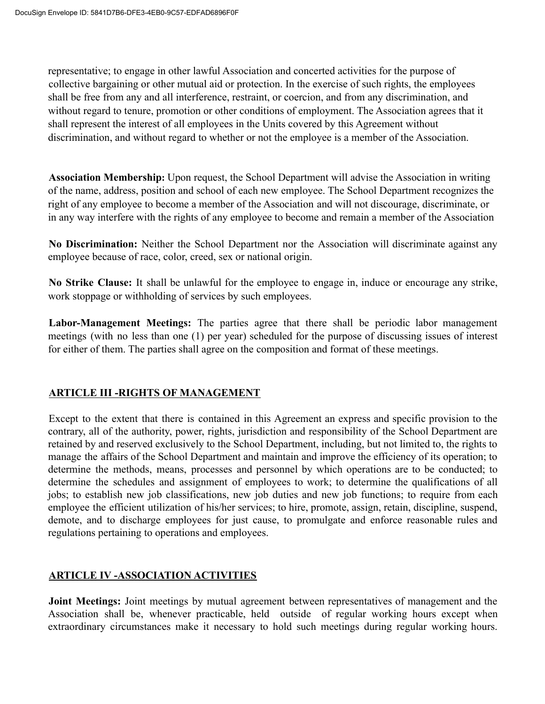representative; to engage in other lawful Association and concerted activities for the purpose of collective bargaining or other mutual aid or protection. In the exercise of such rights, the employees shall be free from any and all interference, restraint, or coercion, and from any discrimination, and without regard to tenure, promotion or other conditions of employment. The Association agrees that it shall represent the interest of all employees in the Units covered by this Agreement without discrimination, and without regard to whether or not the employee is a member of the Association.

**Association Membership:** Upon request, the School Department will advise the Association in writing of the name, address, position and school of each new employee. The School Department recognizes the right of any employee to become a member of the Association and will not discourage, discriminate, or in any way interfere with the rights of any employee to become and remain a member of the Association

**No Discrimination:** Neither the School Department nor the Association will discriminate against any employee because of race, color, creed, sex or national origin.

**No Strike Clause:** It shall be unlawful for the employee to engage in, induce or encourage any strike, work stoppage or withholding of services by such employees.

**Labor-Management Meetings:** The parties agree that there shall be periodic labor management meetings (with no less than one (1) per year) scheduled for the purpose of discussing issues of interest for either of them. The parties shall agree on the composition and format of these meetings.

#### **ARTICLE III -RIGHTS OF MANAGEMENT**

Except to the extent that there is contained in this Agreement an express and specific provision to the contrary, all of the authority, power, rights, jurisdiction and responsibility of the School Department are retained by and reserved exclusively to the School Department, including, but not limited to, the rights to manage the affairs of the School Department and maintain and improve the efficiency of its operation; to determine the methods, means, processes and personnel by which operations are to be conducted; to determine the schedules and assignment of employees to work; to determine the qualifications of all jobs; to establish new job classifications, new job duties and new job functions; to require from each employee the efficient utilization of his/her services; to hire, promote, assign, retain, discipline, suspend, demote, and to discharge employees for just cause, to promulgate and enforce reasonable rules and regulations pertaining to operations and employees.

## **ARTICLE IV -ASSOCIATION ACTIVITIES**

**Joint Meetings:** Joint meetings by mutual agreement between representatives of management and the Association shall be, whenever practicable, held outside of regular working hours except when extraordinary circumstances make it necessary to hold such meetings during regular working hours.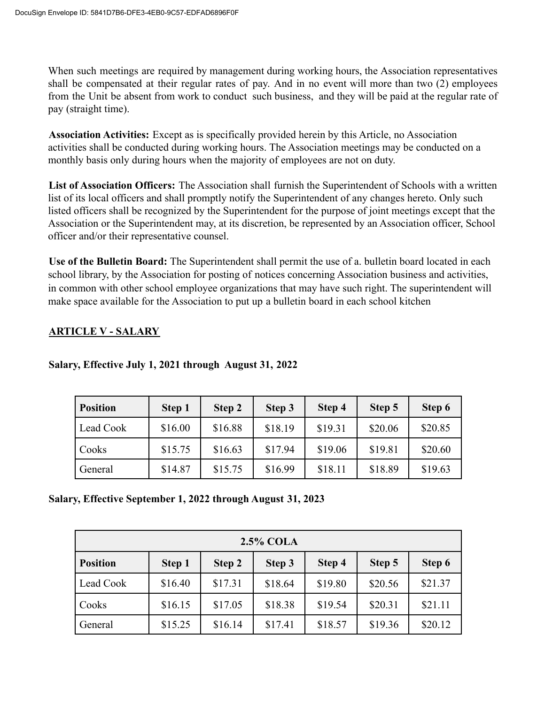When such meetings are required by management during working hours, the Association representatives shall be compensated at their regular rates of pay. And in no event will more than two (2) employees from the Unit be absent from work to conduct such business, and they will be paid at the regular rate of pay (straight time).

**Association Activities:** Except as is specifically provided herein by this Article, no Association activities shall be conducted during working hours. The Association meetings may be conducted on a monthly basis only during hours when the majority of employees are not on duty.

**List of Association Officers:** The Association shall furnish the Superintendent of Schools with a written list of its local officers and shall promptly notify the Superintendent of any changes hereto. Only such listed officers shall be recognized by the Superintendent for the purpose of joint meetings except that the Association or the Superintendent may, at its discretion, be represented by an Association officer, School officer and/or their representative counsel.

**Use of the Bulletin Board:** The Superintendent shall permit the use of a. bulletin board located in each school library, by the Association for posting of notices concerning Association business and activities, in common with other school employee organizations that may have such right. The superintendent will make space available for the Association to put up a bulletin board in each school kitchen

#### **ARTICLE V - SALARY**

| <b>Position</b> | Step 1  | Step 2  | Step 3  | Step 4  | Step 5  | Step 6  |
|-----------------|---------|---------|---------|---------|---------|---------|
| Lead Cook       | \$16.00 | \$16.88 | \$18.19 | \$19.31 | \$20.06 | \$20.85 |
| Cooks           | \$15.75 | \$16.63 | \$17.94 | \$19.06 | \$19.81 | \$20.60 |
| General         | \$14.87 | \$15.75 | \$16.99 | \$18.11 | \$18.89 | \$19.63 |

## **Salary, Effective July 1, 2021 through August 31, 2022**

#### **Salary, Effective September 1, 2022 through August 31, 2023**

| <b>2.5% COLA</b> |         |         |         |         |         |         |
|------------------|---------|---------|---------|---------|---------|---------|
| <b>Position</b>  | Step 1  | Step 2  | Step 3  | Step 4  | Step 5  | Step 6  |
| Lead Cook        | \$16.40 | \$17.31 | \$18.64 | \$19.80 | \$20.56 | \$21.37 |
| Cooks            | \$16.15 | \$17.05 | \$18.38 | \$19.54 | \$20.31 | \$21.11 |
| General          | \$15.25 | \$16.14 | \$17.41 | \$18.57 | \$19.36 | \$20.12 |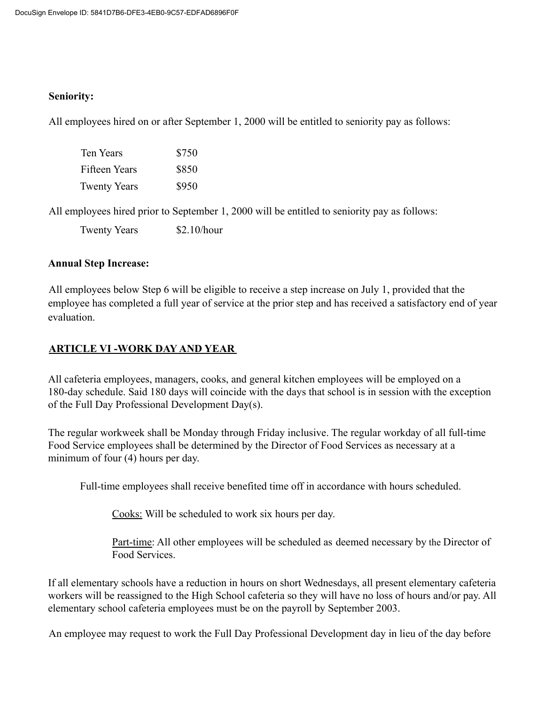#### **Seniority:**

All employees hired on or after September 1, 2000 will be entitled to seniority pay as follows:

| Ten Years           | \$750 |
|---------------------|-------|
| Fifteen Years       | \$850 |
| <b>Twenty Years</b> | \$950 |

All employees hired prior to September 1, 2000 will be entitled to seniority pay as follows:

Twenty Years \$2.10/hour

#### **Annual Step Increase:**

All employees below Step 6 will be eligible to receive a step increase on July 1, provided that the employee has completed a full year of service at the prior step and has received a satisfactory end of year evaluation.

#### **ARTICLE VI -WORK DAY AND YEAR**

All cafeteria employees, managers, cooks, and general kitchen employees will be employed on a 180-day schedule. Said 180 days will coincide with the days that school is in session with the exception of the Full Day Professional Development Day(s).

The regular workweek shall be Monday through Friday inclusive. The regular workday of all full-time Food Service employees shall be determined by the Director of Food Services as necessary at a minimum of four (4) hours per day.

Full-time employees shall receive benefited time off in accordance with hours scheduled.

Cooks: Will be scheduled to work six hours per day.

Part-time: All other employees will be scheduled as deemed necessary by the Director of Food Services.

If all elementary schools have a reduction in hours on short Wednesdays, all present elementary cafeteria workers will be reassigned to the High School cafeteria so they will have no loss of hours and/or pay. All elementary school cafeteria employees must be on the payroll by September 2003.

An employee may request to work the Full Day Professional Development day in lieu of the day before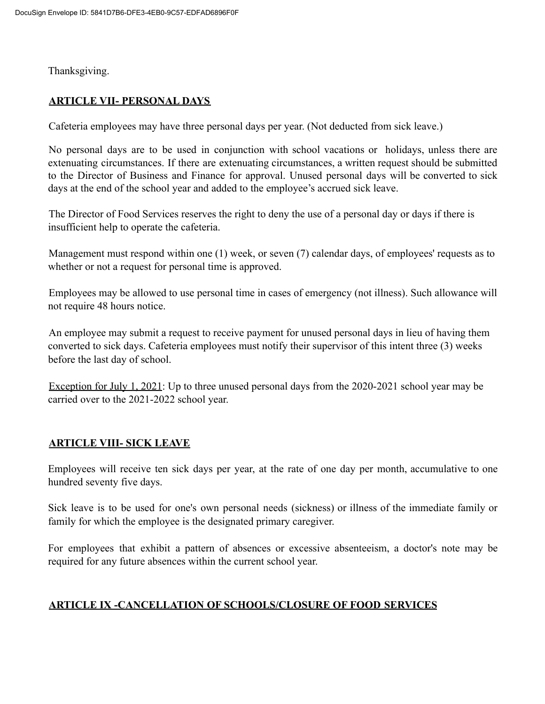Thanksgiving.

#### **ARTICLE VII- PERSONAL DAYS**

Cafeteria employees may have three personal days per year. (Not deducted from sick leave.)

No personal days are to be used in conjunction with school vacations or holidays, unless there are extenuating circumstances. If there are extenuating circumstances, a written request should be submitted to the Director of Business and Finance for approval. Unused personal days will be converted to sick days at the end of the school year and added to the employee's accrued sick leave.

The Director of Food Services reserves the right to deny the use of a personal day or days if there is insufficient help to operate the cafeteria.

Management must respond within one (1) week, or seven (7) calendar days, of employees' requests as to whether or not a request for personal time is approved.

Employees may be allowed to use personal time in cases of emergency (not illness). Such allowance will not require 48 hours notice.

An employee may submit a request to receive payment for unused personal days in lieu of having them converted to sick days. Cafeteria employees must notify their supervisor of this intent three (3) weeks before the last day of school.

Exception for July 1, 2021: Up to three unused personal days from the 2020-2021 school year may be carried over to the 2021-2022 school year.

#### **ARTICLE VIII- SICK LEAVE**

Employees will receive ten sick days per year, at the rate of one day per month, accumulative to one hundred seventy five days.

Sick leave is to be used for one's own personal needs (sickness) or illness of the immediate family or family for which the employee is the designated primary caregiver.

For employees that exhibit a pattern of absences or excessive absenteeism, a doctor's note may be required for any future absences within the current school year.

## **ARTICLE IX -CANCELLATION OF SCHOOLS/CLOSURE OF FOOD SERVICES**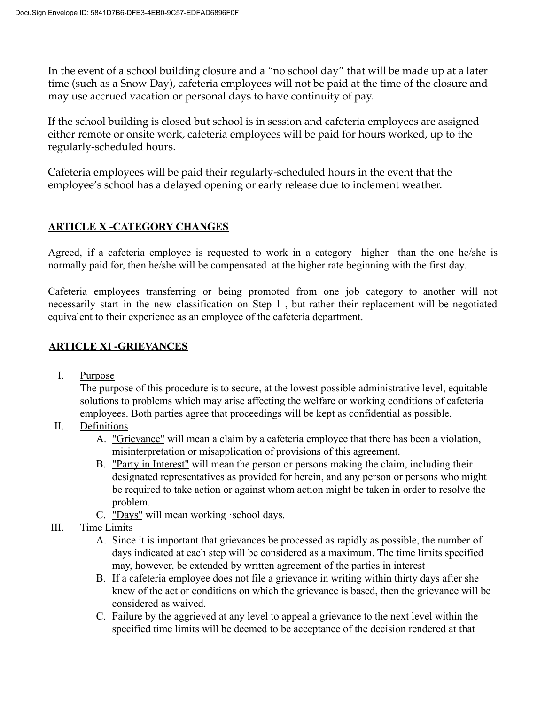In the event of a school building closure and a "no school day" that will be made up at a later time (such as a Snow Day), cafeteria employees will not be paid at the time of the closure and may use accrued vacation or personal days to have continuity of pay.

If the school building is closed but school is in session and cafeteria employees are assigned either remote or onsite work, cafeteria employees will be paid for hours worked, up to the regularly-scheduled hours.

Cafeteria employees will be paid their regularly-scheduled hours in the event that the employee's school has a delayed opening or early release due to inclement weather.

## **ARTICLE X -CATEGORY CHANGES**

Agreed, if a cafeteria employee is requested to work in a category higher than the one he/she is normally paid for, then he/she will be compensated at the higher rate beginning with the first day.

Cafeteria employees transferring or being promoted from one job category to another will not necessarily start in the new classification on Step 1 , but rather their replacement will be negotiated equivalent to their experience as an employee of the cafeteria department.

#### **ARTICLE XI -GRIEVANCES**

I. Purpose

The purpose of this procedure is to secure, at the lowest possible administrative level, equitable solutions to problems which may arise affecting the welfare or working conditions of cafeteria employees. Both parties agree that proceedings will be kept as confidential as possible.

- II. Definitions
	- A. "Grievance" will mean a claim by a cafeteria employee that there has been a violation, misinterpretation or misapplication of provisions of this agreement.
	- B. "Party in Interest" will mean the person or persons making the claim, including their designated representatives as provided for herein, and any person or persons who might be required to take action or against whom action might be taken in order to resolve the problem.
	- C. "Days" will mean working ·school days.
- III. Time Limits
	- A. Since it is important that grievances be processed as rapidly as possible, the number of days indicated at each step will be considered as a maximum. The time limits specified may, however, be extended by written agreement of the parties in interest
	- B. If a cafeteria employee does not file a grievance in writing within thirty days after she knew of the act or conditions on which the grievance is based, then the grievance will be considered as waived.
	- C. Failure by the aggrieved at any level to appeal a grievance to the next level within the specified time limits will be deemed to be acceptance of the decision rendered at that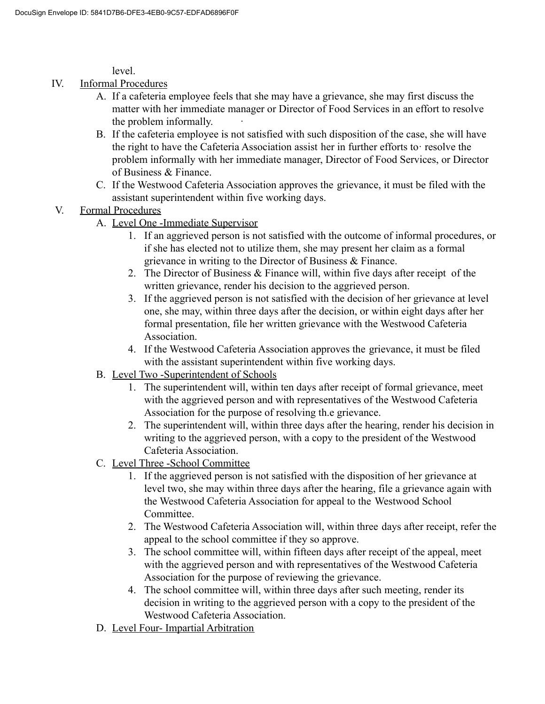level.

- IV. Informal Procedures
	- A. If a cafeteria employee feels that she may have a grievance, she may first discuss the matter with her immediate manager or Director of Food Services in an effort to resolve the problem informally.
	- B. If the cafeteria employee is not satisfied with such disposition of the case, she will have the right to have the Cafeteria Association assist her in further efforts to· resolve the problem informally with her immediate manager, Director of Food Services, or Director of Business & Finance.
	- C. If the Westwood Cafeteria Association approves the grievance, it must be filed with the assistant superintendent within five working days.

## V. Formal Procedures

- A. Level One -Immediate Supervisor
	- 1. If an aggrieved person is not satisfied with the outcome of informal procedures, or if she has elected not to utilize them, she may present her claim as a formal grievance in writing to the Director of Business & Finance.
	- 2. The Director of Business & Finance will, within five days after receipt of the written grievance, render his decision to the aggrieved person.
	- 3. If the aggrieved person is not satisfied with the decision of her grievance at level one, she may, within three days after the decision, or within eight days after her formal presentation, file her written grievance with the Westwood Cafeteria Association.
	- 4. If the Westwood Cafeteria Association approves the grievance, it must be filed with the assistant superintendent within five working days.
- B. Level Two -Superintendent of Schools
	- 1. The superintendent will, within ten days after receipt of formal grievance, meet with the aggrieved person and with representatives of the Westwood Cafeteria Association for the purpose of resolving th.e grievance.
	- 2. The superintendent will, within three days after the hearing, render his decision in writing to the aggrieved person, with a copy to the president of the Westwood Cafeteria Association.
- C. Level Three -School Committee
	- 1. If the aggrieved person is not satisfied with the disposition of her grievance at level two, she may within three days after the hearing, file a grievance again with the Westwood Cafeteria Association for appeal to the Westwood School Committee.
	- 2. The Westwood Cafeteria Association will, within three days after receipt, refer the appeal to the school committee if they so approve.
	- 3. The school committee will, within fifteen days after receipt of the appeal, meet with the aggrieved person and with representatives of the Westwood Cafeteria Association for the purpose of reviewing the grievance.
	- 4. The school committee will, within three days after such meeting, render its decision in writing to the aggrieved person with a copy to the president of the Westwood Cafeteria Association.
- D. Level Four- Impartial Arbitration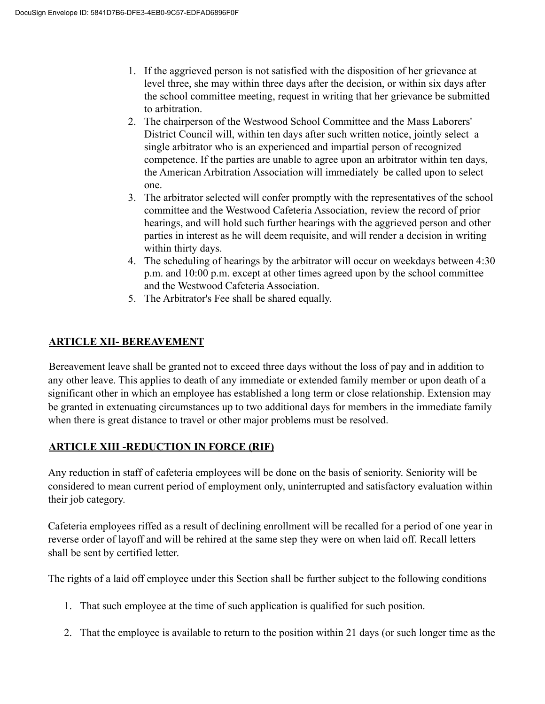- 1. If the aggrieved person is not satisfied with the disposition of her grievance at level three, she may within three days after the decision, or within six days after the school committee meeting, request in writing that her grievance be submitted to arbitration.
- 2. The chairperson of the Westwood School Committee and the Mass Laborers' District Council will, within ten days after such written notice, jointly select a single arbitrator who is an experienced and impartial person of recognized competence. If the parties are unable to agree upon an arbitrator within ten days, the American Arbitration Association will immediately be called upon to select one.
- 3. The arbitrator selected will confer promptly with the representatives of the school committee and the Westwood Cafeteria Association, review the record of prior hearings, and will hold such further hearings with the aggrieved person and other parties in interest as he will deem requisite, and will render a decision in writing within thirty days.
- 4. The scheduling of hearings by the arbitrator will occur on weekdays between 4:30 p.m. and 10:00 p.m. except at other times agreed upon by the school committee and the Westwood Cafeteria Association.
- 5. The Arbitrator's Fee shall be shared equally.

## **ARTICLE XII- BEREAVEMENT**

Bereavement leave shall be granted not to exceed three days without the loss of pay and in addition to any other leave. This applies to death of any immediate or extended family member or upon death of a significant other in which an employee has established a long term or close relationship. Extension may be granted in extenuating circumstances up to two additional days for members in the immediate family when there is great distance to travel or other major problems must be resolved.

## **ARTICLE XIII -REDUCTION IN FORCE (RIF)**

Any reduction in staff of cafeteria employees will be done on the basis of seniority. Seniority will be considered to mean current period of employment only, uninterrupted and satisfactory evaluation within their job category.

Cafeteria employees riffed as a result of declining enrollment will be recalled for a period of one year in reverse order of layoff and will be rehired at the same step they were on when laid off. Recall letters shall be sent by certified letter.

The rights of a laid off employee under this Section shall be further subject to the following conditions

- 1. That such employee at the time of such application is qualified for such position.
- 2. That the employee is available to return to the position within 21 days (or such longer time as the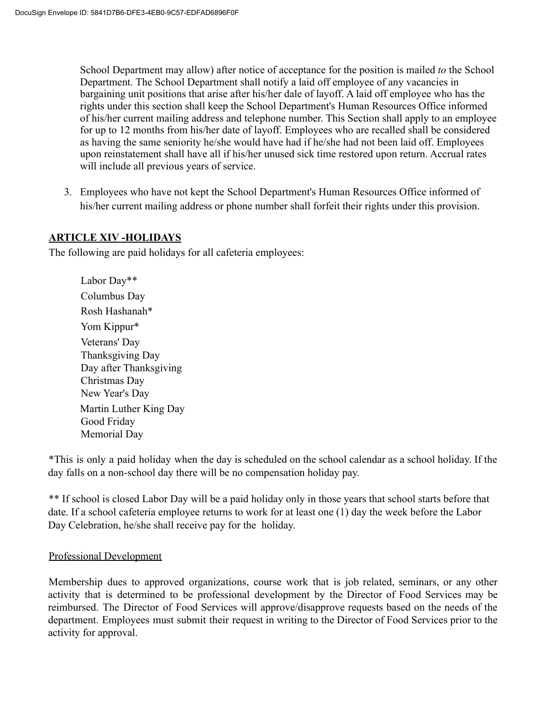School Department may allow) after notice of acceptance for the position is mailed *to* the School Department. The School Department shall notify a laid off employee of any vacancies in bargaining unit positions that arise after his/her dale of layoff. A laid off employee who has the rights under this section shall keep the School Department's Human Resources Office informed of his/her current mailing address and telephone number. This Section shall apply to an employee for up to 12 months from his/her date of layoff. Employees who are recalled shall be considered as having the same seniority he/she would have had if he/she had not been laid off. Employees upon reinstatement shall have all if his/her unused sick time restored upon return. Accrual rates will include all previous years of service.

3. Employees who have not kept the School Department's Human Resources Office informed of his/her current mailing address or phone number shall forfeit their rights under this provision.

#### **ARTICLE XIV -HOLIDAYS**

The following are paid holidays for all cafeteria employees:

Labor Day\*\* Columbus Day Rosh Hashanah\* Yom Kippur\* Veterans' Day Thanksgiving Day Day after Thanksgiving Christmas Day New Year's Day Martin Luther King Day Good Friday Memorial Day

\*This is only a paid holiday when the day is scheduled on the school calendar as a school holiday. If the day falls on a non-school day there will be no compensation holiday pay.

\*\* If school is closed Labor Day will be a paid holiday only in those years that school starts before that date. If a school cafeteria employee returns to work for at least one (1) day the week before the Labor Day Celebration, he/she shall receive pay for the holiday.

#### Professional Development

Membership dues to approved organizations, course work that is job related, seminars, or any other activity that is determined to be professional development by the Director of Food Services may be reimbursed. The Director of Food Services will approve/disapprove requests based on the needs of the department. Employees must submit their request in writing to the Director of Food Services prior to the activity for approval.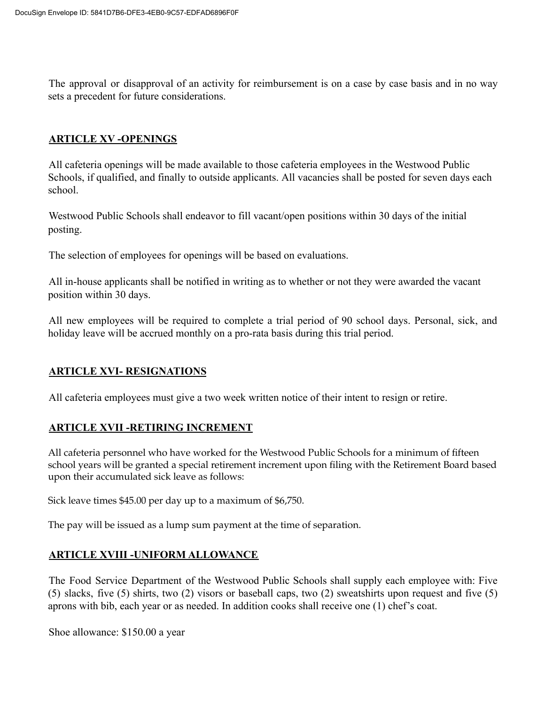The approval or disapproval of an activity for reimbursement is on a case by case basis and in no way sets a precedent for future considerations.

#### **ARTICLE XV -OPENINGS**

All cafeteria openings will be made available to those cafeteria employees in the Westwood Public Schools, if qualified, and finally to outside applicants. All vacancies shall be posted for seven days each school.

Westwood Public Schools shall endeavor to fill vacant/open positions within 30 days of the initial posting.

The selection of employees for openings will be based on evaluations.

All in-house applicants shall be notified in writing as to whether or not they were awarded the vacant position within 30 days.

All new employees will be required to complete a trial period of 90 school days. Personal, sick, and holiday leave will be accrued monthly on a pro-rata basis during this trial period.

#### **ARTICLE XVI- RESIGNATIONS**

All cafeteria employees must give a two week written notice of their intent to resign or retire.

#### **ARTICLE XVII -RETIRING INCREMENT**

All cafeteria personnel who have worked for the Westwood Public Schools for a minimum of fifteen school years will be granted a special retirement increment upon filing with the Retirement Board based upon their accumulated sick leave as follows:

Sick leave times \$45.00 per day up to a maximum of \$6,750.

The pay will be issued as a lump sum payment at the time of separation.

#### **ARTICLE XVIII -UNIFORM ALLOWANCE**

The Food Service Department of the Westwood Public Schools shall supply each employee with: Five (5) slacks, five (5) shirts, two (2) visors or baseball caps, two (2) sweatshirts upon request and five (5) aprons with bib, each year or as needed. In addition cooks shall receive one (1) chef's coat.

Shoe allowance: \$150.00 a year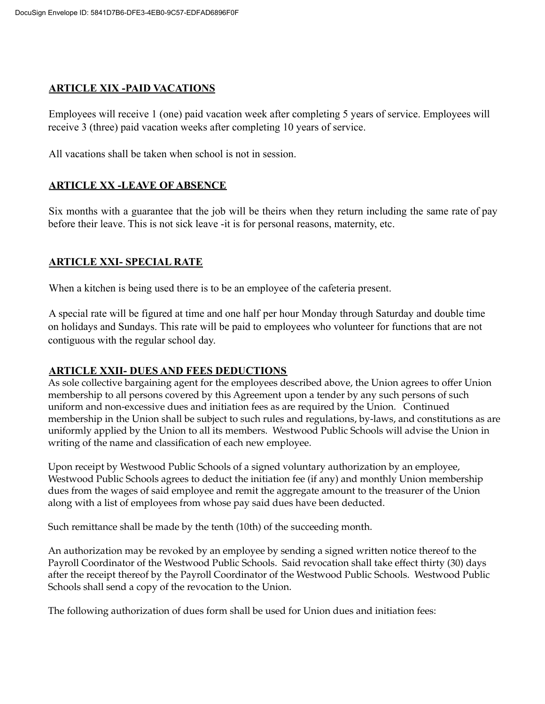#### **ARTICLE XIX -PAID VACATIONS**

Employees will receive 1 (one) paid vacation week after completing 5 years of service. Employees will receive 3 (three) paid vacation weeks after completing 10 years of service.

All vacations shall be taken when school is not in session.

#### **ARTICLE XX -LEAVE OF ABSENCE**

Six months with a guarantee that the job will be theirs when they return including the same rate of pay before their leave. This is not sick leave -it is for personal reasons, maternity, etc.

#### **ARTICLE XXI- SPECIAL RATE**

When a kitchen is being used there is to be an employee of the cafeteria present.

A special rate will be figured at time and one half per hour Monday through Saturday and double time on holidays and Sundays. This rate will be paid to employees who volunteer for functions that are not contiguous with the regular school day.

#### **ARTICLE XXII- DUES AND FEES DEDUCTIONS**

As sole collective bargaining agent for the employees described above, the Union agrees to offer Union membership to all persons covered by this Agreement upon a tender by any such persons of such uniform and non-excessive dues and initiation fees as are required by the Union. Continued membership in the Union shall be subject to such rules and regulations, by-laws, and constitutions as are uniformly applied by the Union to all its members. Westwood Public Schools will advise the Union in writing of the name and classification of each new employee.

Upon receipt by Westwood Public Schools of a signed voluntary authorization by an employee, Westwood Public Schools agrees to deduct the initiation fee (if any) and monthly Union membership dues from the wages of said employee and remit the aggregate amount to the treasurer of the Union along with a list of employees from whose pay said dues have been deducted.

Such remittance shall be made by the tenth (10th) of the succeeding month.

An authorization may be revoked by an employee by sending a signed written notice thereof to the Payroll Coordinator of the Westwood Public Schools. Said revocation shall take effect thirty (30) days after the receipt thereof by the Payroll Coordinator of the Westwood Public Schools. Westwood Public Schools shall send a copy of the revocation to the Union.

The following authorization of dues form shall be used for Union dues and initiation fees: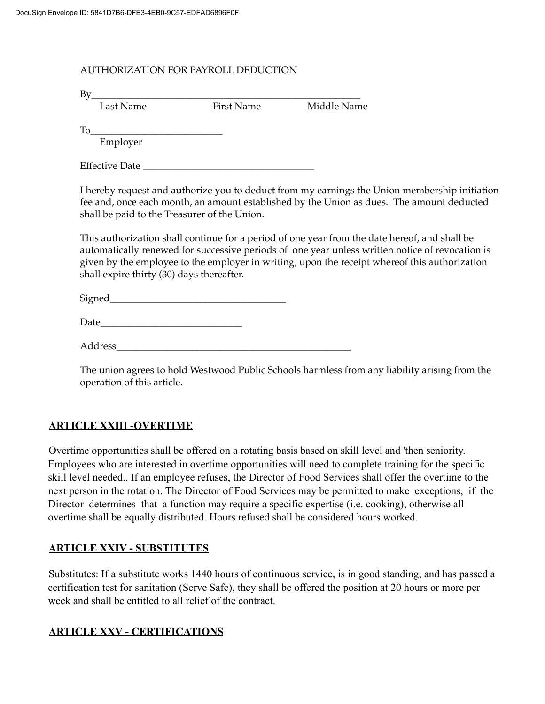#### AUTHORIZATION FOR PAYROLL DEDUCTION

| $\rm{By}$                                                                                                                                                                                                                                                                                                                                         |            |                                                                                                                                                                                                                                                                                                  |  |
|---------------------------------------------------------------------------------------------------------------------------------------------------------------------------------------------------------------------------------------------------------------------------------------------------------------------------------------------------|------------|--------------------------------------------------------------------------------------------------------------------------------------------------------------------------------------------------------------------------------------------------------------------------------------------------|--|
| Last Name                                                                                                                                                                                                                                                                                                                                         | First Name | Middle Name                                                                                                                                                                                                                                                                                      |  |
| $To$ and $\overline{a}$ and $\overline{a}$ and $\overline{a}$ and $\overline{a}$ and $\overline{a}$ and $\overline{a}$ and $\overline{a}$ and $\overline{a}$ and $\overline{a}$ and $\overline{a}$ and $\overline{a}$ and $\overline{a}$ and $\overline{a}$ and $\overline{a}$ and $\overline{a}$ and $\overline{a}$ and $\overline{$<br>Employer |            |                                                                                                                                                                                                                                                                                                  |  |
|                                                                                                                                                                                                                                                                                                                                                   |            |                                                                                                                                                                                                                                                                                                  |  |
| shall be paid to the Treasurer of the Union.                                                                                                                                                                                                                                                                                                      |            | I hereby request and authorize you to deduct from my earnings the Union membership initiation<br>fee and, once each month, an amount established by the Union as dues. The amount deducted                                                                                                       |  |
|                                                                                                                                                                                                                                                                                                                                                   |            | This authorization shall continue for a period of one year from the date hereof, and shall be<br>automatically renewed for successive periods of one year unless written notice of revocation is<br>oiven by the employee to the employer in writing upon the receipt whereof this authorization |  |

*r*itten notice of revocation is given by the employee to the employer in writing, upon the receipt whereof this authorization shall expire thirty (30) days thereafter.

 $Signed$ 

| Г<br>лате<br>- |  |  |  |
|----------------|--|--|--|
|                |  |  |  |

Address\_\_\_\_\_\_\_\_\_\_\_\_\_\_\_\_\_\_\_\_\_\_\_\_\_\_\_\_\_\_\_\_\_\_\_\_\_\_\_\_\_\_\_\_\_\_\_\_

The union agrees to hold Westwood Public Schools harmless from any liability arising from the operation of this article.

#### **ARTICLE XXIII -OVERTIME**

Overtime opportunities shall be offered on a rotating basis based on skill level and 'then seniority. Employees who are interested in overtime opportunities will need to complete training for the specific skill level needed.. If an employee refuses, the Director of Food Services shall offer the overtime to the next person in the rotation. The Director of Food Services may be permitted to make exceptions, if the Director determines that a function may require a specific expertise (i.e. cooking), otherwise all overtime shall be equally distributed. Hours refused shall be considered hours worked.

#### **ARTICLE XXIV - SUBSTITUTES**

Substitutes: If a substitute works 1440 hours of continuous service, is in good standing, and has passed a certification test for sanitation (Serve Safe), they shall be offered the position at 20 hours or more per week and shall be entitled to all relief of the contract.

#### **ARTICLE XXV - CERTIFICATIONS**